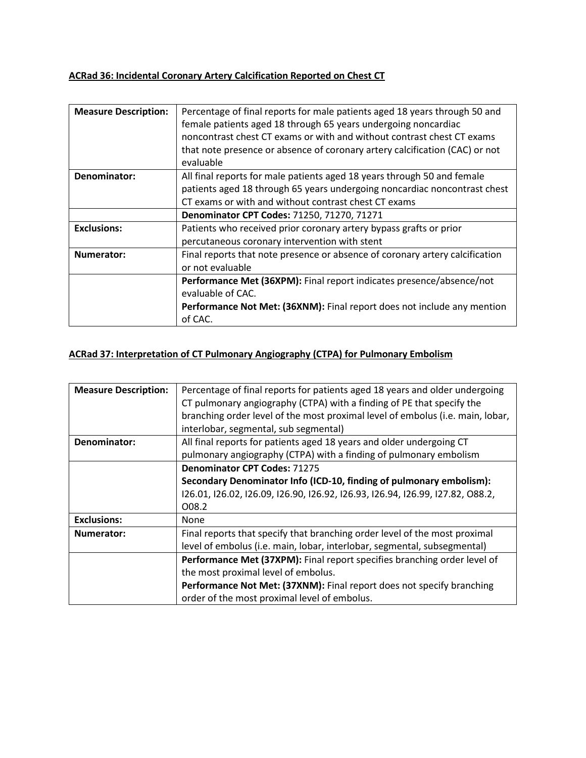# **ACRad 36: Incidental Coronary Artery Calcification Reported on Chest CT**

| <b>Measure Description:</b> | Percentage of final reports for male patients aged 18 years through 50 and   |
|-----------------------------|------------------------------------------------------------------------------|
|                             | female patients aged 18 through 65 years undergoing noncardiac               |
|                             | noncontrast chest CT exams or with and without contrast chest CT exams       |
|                             | that note presence or absence of coronary artery calcification (CAC) or not  |
|                             | evaluable                                                                    |
| Denominator:                | All final reports for male patients aged 18 years through 50 and female      |
|                             | patients aged 18 through 65 years undergoing noncardiac noncontrast chest    |
|                             | CT exams or with and without contrast chest CT exams                         |
|                             | Denominator CPT Codes: 71250, 71270, 71271                                   |
| <b>Exclusions:</b>          | Patients who received prior coronary artery bypass grafts or prior           |
|                             | percutaneous coronary intervention with stent                                |
| <b>Numerator:</b>           | Final reports that note presence or absence of coronary artery calcification |
|                             | or not evaluable                                                             |
|                             | Performance Met (36XPM): Final report indicates presence/absence/not         |
|                             | evaluable of CAC.                                                            |
|                             | Performance Not Met: (36XNM): Final report does not include any mention      |
|                             | of CAC.                                                                      |

### **ACRad 37: Interpretation of CT Pulmonary Angiography (CTPA) for Pulmonary Embolism**

| <b>Measure Description:</b> | Percentage of final reports for patients aged 18 years and older undergoing    |
|-----------------------------|--------------------------------------------------------------------------------|
|                             | CT pulmonary angiography (CTPA) with a finding of PE that specify the          |
|                             | branching order level of the most proximal level of embolus (i.e. main, lobar, |
|                             | interlobar, segmental, sub segmental)                                          |
| Denominator:                | All final reports for patients aged 18 years and older undergoing CT           |
|                             | pulmonary angiography (CTPA) with a finding of pulmonary embolism              |
|                             | <b>Denominator CPT Codes: 71275</b>                                            |
|                             | Secondary Denominator Info (ICD-10, finding of pulmonary embolism):            |
|                             | 126.01, 126.02, 126.09, 126.90, 126.92, 126.93, 126.94, 126.99, 127.82, 088.2, |
|                             | O08.2                                                                          |
| <b>Exclusions:</b>          | None                                                                           |
| Numerator:                  | Final reports that specify that branching order level of the most proximal     |
|                             | level of embolus (i.e. main, lobar, interlobar, segmental, subsegmental)       |
|                             | Performance Met (37XPM): Final report specifies branching order level of       |
|                             | the most proximal level of embolus.                                            |
|                             | Performance Not Met: (37XNM): Final report does not specify branching          |
|                             | order of the most proximal level of embolus.                                   |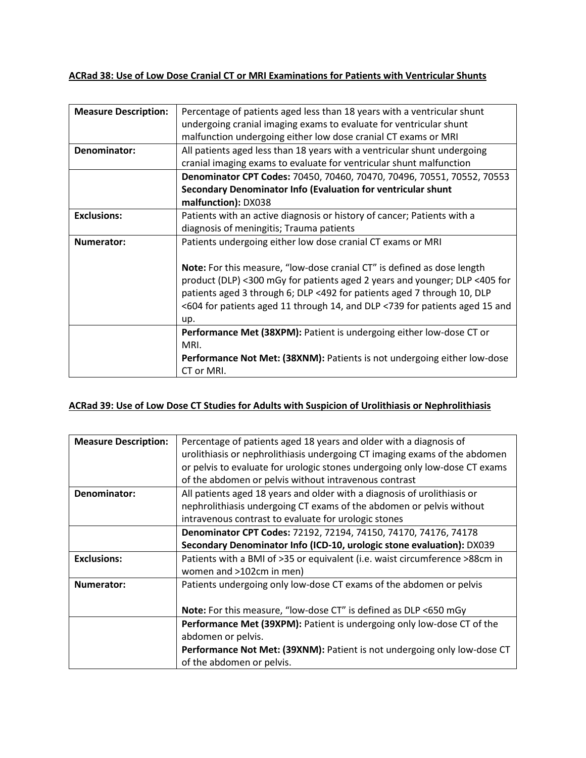#### **ACRad 38: Use of Low Dose Cranial CT or MRI Examinations for Patients with Ventricular Shunts**

| <b>Measure Description:</b> | Percentage of patients aged less than 18 years with a ventricular shunt     |
|-----------------------------|-----------------------------------------------------------------------------|
|                             | undergoing cranial imaging exams to evaluate for ventricular shunt          |
|                             | malfunction undergoing either low dose cranial CT exams or MRI              |
| Denominator:                | All patients aged less than 18 years with a ventricular shunt undergoing    |
|                             | cranial imaging exams to evaluate for ventricular shunt malfunction         |
|                             | Denominator CPT Codes: 70450, 70460, 70470, 70496, 70551, 70552, 70553      |
|                             | Secondary Denominator Info (Evaluation for ventricular shunt                |
|                             | malfunction): DX038                                                         |
| <b>Exclusions:</b>          | Patients with an active diagnosis or history of cancer; Patients with a     |
|                             | diagnosis of meningitis; Trauma patients                                    |
| Numerator:                  | Patients undergoing either low dose cranial CT exams or MRI                 |
|                             |                                                                             |
|                             | Note: For this measure, "low-dose cranial CT" is defined as dose length     |
|                             | product (DLP) <300 mGy for patients aged 2 years and younger; DLP <405 for  |
|                             | patients aged 3 through 6; DLP <492 for patients aged 7 through 10, DLP     |
|                             | <604 for patients aged 11 through 14, and DLP <739 for patients aged 15 and |
|                             | up.                                                                         |
|                             | Performance Met (38XPM): Patient is undergoing either low-dose CT or        |
|                             | MRI.                                                                        |
|                             | Performance Not Met: (38XNM): Patients is not undergoing either low-dose    |
|                             | CT or MRI.                                                                  |

#### **ACRad 39: Use of Low Dose CT Studies for Adults with Suspicion of Urolithiasis or Nephrolithiasis**

| <b>Measure Description:</b> | Percentage of patients aged 18 years and older with a diagnosis of          |
|-----------------------------|-----------------------------------------------------------------------------|
|                             | urolithiasis or nephrolithiasis undergoing CT imaging exams of the abdomen  |
|                             | or pelvis to evaluate for urologic stones undergoing only low-dose CT exams |
|                             | of the abdomen or pelvis without intravenous contrast                       |
| Denominator:                | All patients aged 18 years and older with a diagnosis of urolithiasis or    |
|                             | nephrolithiasis undergoing CT exams of the abdomen or pelvis without        |
|                             | intravenous contrast to evaluate for urologic stones                        |
|                             | Denominator CPT Codes: 72192, 72194, 74150, 74170, 74176, 74178             |
|                             | Secondary Denominator Info (ICD-10, urologic stone evaluation): DX039       |
| <b>Exclusions:</b>          | Patients with a BMI of >35 or equivalent (i.e. waist circumference >88cm in |
|                             | women and >102cm in men)                                                    |
| Numerator:                  | Patients undergoing only low-dose CT exams of the abdomen or pelvis         |
|                             |                                                                             |
|                             | Note: For this measure, "low-dose CT" is defined as DLP <650 mGy            |
|                             | Performance Met (39XPM): Patient is undergoing only low-dose CT of the      |
|                             | abdomen or pelvis.                                                          |
|                             | Performance Not Met: (39XNM): Patient is not undergoing only low-dose CT    |
|                             | of the abdomen or pelvis.                                                   |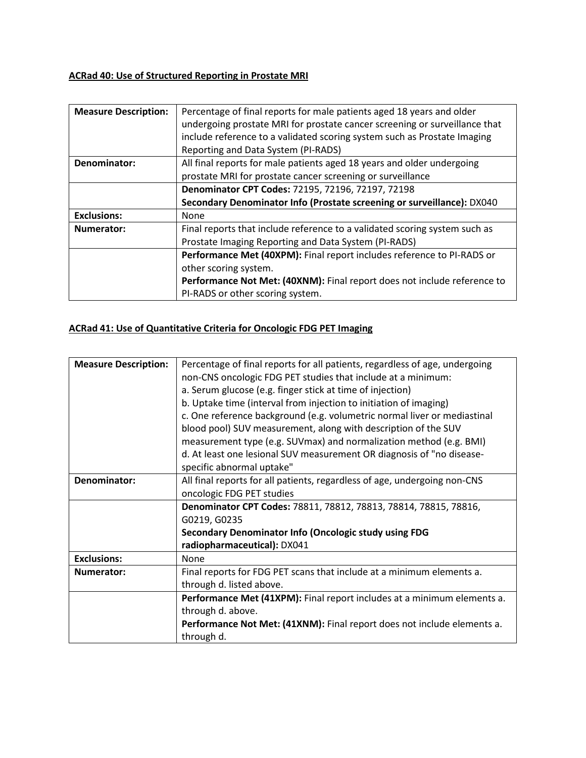### **ACRad 40: Use of Structured Reporting in Prostate MRI**

| <b>Measure Description:</b> | Percentage of final reports for male patients aged 18 years and older      |
|-----------------------------|----------------------------------------------------------------------------|
|                             | undergoing prostate MRI for prostate cancer screening or surveillance that |
|                             | include reference to a validated scoring system such as Prostate Imaging   |
|                             | Reporting and Data System (PI-RADS)                                        |
| Denominator:                | All final reports for male patients aged 18 years and older undergoing     |
|                             | prostate MRI for prostate cancer screening or surveillance                 |
|                             | Denominator CPT Codes: 72195, 72196, 72197, 72198                          |
|                             | Secondary Denominator Info (Prostate screening or surveillance): DX040     |
| <b>Exclusions:</b>          | None                                                                       |
| Numerator:                  | Final reports that include reference to a validated scoring system such as |
|                             | Prostate Imaging Reporting and Data System (PI-RADS)                       |
|                             | Performance Met (40XPM): Final report includes reference to PI-RADS or     |
|                             | other scoring system.                                                      |
|                             | Performance Not Met: (40XNM): Final report does not include reference to   |
|                             | PI-RADS or other scoring system.                                           |

# **ACRad 41: Use of Quantitative Criteria for Oncologic FDG PET Imaging**

| <b>Measure Description:</b> | Percentage of final reports for all patients, regardless of age, undergoing |
|-----------------------------|-----------------------------------------------------------------------------|
|                             | non-CNS oncologic FDG PET studies that include at a minimum:                |
|                             | a. Serum glucose (e.g. finger stick at time of injection)                   |
|                             | b. Uptake time (interval from injection to initiation of imaging)           |
|                             | c. One reference background (e.g. volumetric normal liver or mediastinal    |
|                             | blood pool) SUV measurement, along with description of the SUV              |
|                             | measurement type (e.g. SUVmax) and normalization method (e.g. BMI)          |
|                             | d. At least one lesional SUV measurement OR diagnosis of "no disease-       |
|                             | specific abnormal uptake"                                                   |
| Denominator:                | All final reports for all patients, regardless of age, undergoing non-CNS   |
|                             | oncologic FDG PET studies                                                   |
|                             | Denominator CPT Codes: 78811, 78812, 78813, 78814, 78815, 78816,            |
|                             | G0219, G0235                                                                |
|                             | Secondary Denominator Info (Oncologic study using FDG                       |
|                             | radiopharmaceutical): DX041                                                 |
| <b>Exclusions:</b>          | None                                                                        |
| Numerator:                  | Final reports for FDG PET scans that include at a minimum elements a.       |
|                             | through d. listed above.                                                    |
|                             | Performance Met (41XPM): Final report includes at a minimum elements a.     |
|                             | through d. above.                                                           |
|                             | Performance Not Met: (41XNM): Final report does not include elements a.     |
|                             | through d.                                                                  |